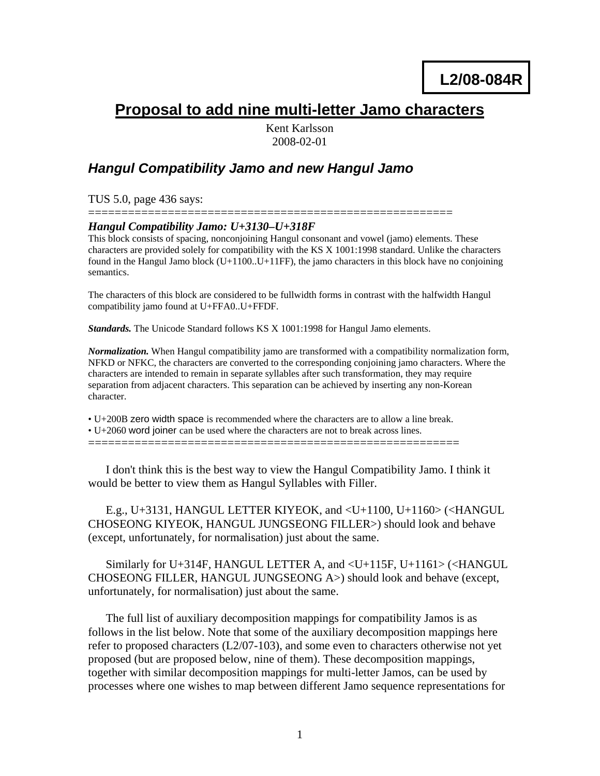# **Proposal to add nine multi-letter Jamo characters**

Kent Karlsson 2008-02-01

## *Hangul Compatibility Jamo and new Hangul Jamo*

TUS 5.0, page 436 says:

#### ======================================================= *Hangul Compatibility Jamo: U+3130–U+318F*

This block consists of spacing, nonconjoining Hangul consonant and vowel (jamo) elements. These characters are provided solely for compatibility with the KS X 1001:1998 standard. Unlike the characters found in the Hangul Jamo block  $(U+1100,U+11FF)$ , the jamo characters in this block have no conjoining semantics.

The characters of this block are considered to be fullwidth forms in contrast with the halfwidth Hangul compatibility jamo found at U+FFA0..U+FFDF.

*Standards.* The Unicode Standard follows KS X 1001:1998 for Hangul Jamo elements.

*Normalization.* When Hangul compatibility jamo are transformed with a compatibility normalization form, NFKD or NFKC, the characters are converted to the corresponding conjoining jamo characters. Where the characters are intended to remain in separate syllables after such transformation, they may require separation from adjacent characters. This separation can be achieved by inserting any non-Korean character.

• U+200B zero width space is recommended where the characters are to allow a line break.

• U+2060 word joiner can be used where the characters are not to break across lines.

========================================================

I don't think this is the best way to view the Hangul Compatibility Jamo. I think it would be better to view them as Hangul Syllables with Filler.

E.g., U+3131, HANGUL LETTER KIYEOK, and <U+1100, U+1160> (<HANGUL CHOSEONG KIYEOK, HANGUL JUNGSEONG FILLER>) should look and behave (except, unfortunately, for normalisation) just about the same.

Similarly for U+314F, HANGUL LETTER A, and <U+115F, U+1161> (<HANGUL CHOSEONG FILLER, HANGUL JUNGSEONG A>) should look and behave (except, unfortunately, for normalisation) just about the same.

The full list of auxiliary decomposition mappings for compatibility Jamos is as follows in the list below. Note that some of the auxiliary decomposition mappings here refer to proposed characters  $(L2/07-103)$ , and some even to characters otherwise not yet proposed (but are proposed below, nine of them). These decomposition mappings, together with similar decomposition mappings for multi-letter Jamos, can be used by processes where one wishes to map between different Jamo sequence representations for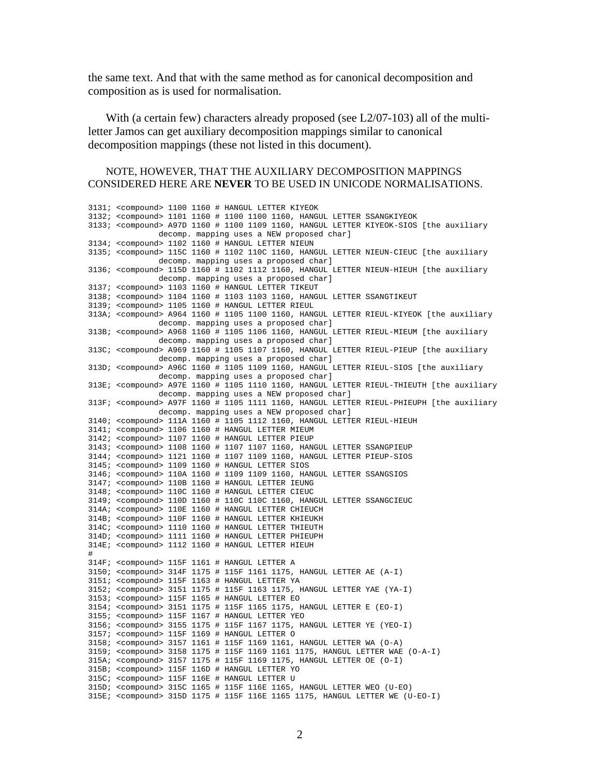the same text. And that with the same method as for canonical decomposition and composition as is used for normalisation.

With (a certain few) characters already proposed (see L2/07-103) all of the multiletter Jamos can get auxiliary decomposition mappings similar to canonical decomposition mappings (these not listed in this document).

#### NOTE, HOWEVER, THAT THE AUXILIARY DECOMPOSITION MAPPINGS CONSIDERED HERE ARE **NEVER** TO BE USED IN UNICODE NORMALISATIONS.

3131; <compound> 1100 1160 # HANGUL LETTER KIYEOK 3132; <compound> 1101 1160 # 1100 1100 1160, HANGUL LETTER SSANGKIYEOK 3133; <compound> A97D 1160 # 1100 1109 1160, HANGUL LETTER KIYEOK-SIOS [the auxiliary decomp. mapping uses a NEW proposed char] 3134; <compound> 1102 1160 # HANGUL LETTER NIEUN 3135; <compound> 115C 1160 # 1102 110C 1160, HANGUL LETTER NIEUN-CIEUC [the auxiliary decomp. mapping uses a proposed char] 3136; <compound> 115D 1160 # 1102 1112 1160, HANGUL LETTER NIEUN-HIEUH [the auxiliary decomp. mapping uses a proposed char] 3137; <compound> 1103 1160 # HANGUL LETTER TIKEUT 3138; <compound> 1104 1160 # 1103 1103 1160, HANGUL LETTER SSANGTIKEUT 3139; <compound> 1105 1160 # HANGUL LETTER RIEUL 313A; <compound> A964 1160 # 1105 1100 1160, HANGUL LETTER RIEUL-KIYEOK [the auxiliary decomp. mapping uses a proposed char] 313B; <compound> A968 1160 # 1105 1106 1160, HANGUL LETTER RIEUL-MIEUM [the auxiliary decomp. mapping uses a proposed char] 313C; <compound> A969 1160 # 1105 1107 1160, HANGUL LETTER RIEUL-PIEUP [the auxiliary decomp. mapping uses a proposed char] 313D; <compound> A96C 1160 # 1105 1109 1160, HANGUL LETTER RIEUL-SIOS [the auxiliary decomp. mapping uses a proposed char] 313E; <compound> A97E 1160 # 1105 1110 1160, HANGUL LETTER RIEUL-THIEUTH [the auxiliary decomp. mapping uses a NEW proposed char] 313F; <compound> A97F 1160 # 1105 1111 1160, HANGUL LETTER RIEUL-PHIEUPH [the auxiliary decomp. mapping uses a NEW proposed char] 3140; <compound> 111A 1160 # 1105 1112 1160, HANGUL LETTER RIEUL-HIEUH 3141; <compound> 1106 1160 # HANGUL LETTER MIEUM 3142; <compound> 1107 1160 # HANGUL LETTER PIEUP 3143; <compound> 1108 1160 # 1107 1107 1160, HANGUL LETTER SSANGPIEUP 3144; <compound> 1121 1160 # 1107 1109 1160, HANGUL LETTER PIEUP-SIOS 3145; <compound> 1109 1160 # HANGUL LETTER SIOS 3146; <compound> 110A 1160 # 1109 1109 1160, HANGUL LETTER SSANGSIOS 3147; <compound> 110B 1160 # HANGUL LETTER IEUNG 3148; <compound> 110C 1160 # HANGUL LETTER CIEUC 3149; <compound> 110D 1160 # 110C 110C 1160, HANGUL LETTER SSANGCIEUC 314A; <compound> 110E 1160 # HANGUL LETTER CHIEUCH 314B; <compound> 110F 1160 # HANGUL LETTER KHIEUKH 314C; <compound> 1110 1160 # HANGUL LETTER THIEUTH 314D; <compound> 1111 1160 # HANGUL LETTER PHIEUPH 314E; <compound> 1112 1160 # HANGUL LETTER HIEUH # 314F; <compound> 115F 1161 # HANGUL LETTER A 3150; <compound> 314F 1175 # 115F 1161 1175, HANGUL LETTER AE (A-I) 3151; <compound> 115F 1163 # HANGUL LETTER YA 3152; <compound> 3151 1175 # 115F 1163 1175, HANGUL LETTER YAE (YA-I) 3153; <compound> 115F 1165 # HANGUL LETTER EO 3154; <compound> 3151 1175 # 115F 1165 1175, HANGUL LETTER E (EO-I) 3155; <compound> 115F 1167 # HANGUL LETTER YEO 3156; <compound> 3155 1175 # 115F 1167 1175, HANGUL LETTER YE (YEO-I) 3157; <compound> 115F 1169 # HANGUL LETTER O 3158; <compound> 3157 1161 # 115F 1169 1161, HANGUL LETTER WA (O-A) 3159; <compound> 3158 1175 # 115F 1169 1161 1175, HANGUL LETTER WAE (O-A-I) 315A; <compound> 3157 1175 # 115F 1169 1175, HANGUL LETTER OE (O-I) 315B; <compound> 115F 116D # HANGUL LETTER YO 315C; <compound> 115F 116E # HANGUL LETTER U 315D; <compound> 315C 1165 # 115F 116E 1165, HANGUL LETTER WEO (U-EO) 315E; <compound> 315D 1175 # 115F 116E 1165 1175, HANGUL LETTER WE (U-EO-I)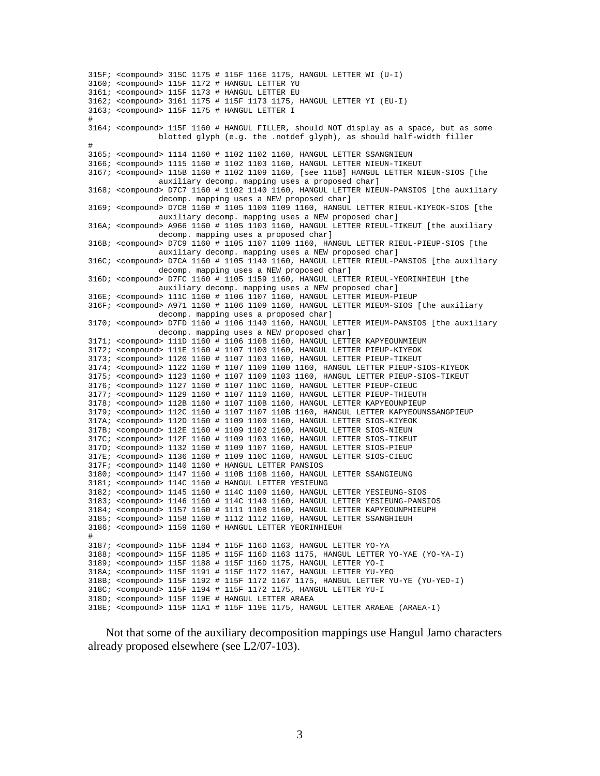```
315F; <compound> 315C 1175 # 115F 116E 1175, HANGUL LETTER WI (U-I) 
3160; <compound> 115F 1172 # HANGUL LETTER YU 
3161; <compound> 115F 1173 # HANGUL LETTER EU 
3162; <compound> 3161 1175 # 115F 1173 1175, HANGUL LETTER YI (EU-I) 
3163; <compound> 115F 1175 # HANGUL LETTER I 
# 
3164; <compound> 115F 1160 # HANGUL FILLER, should NOT display as a space, but as some 
               blotted glyph (e.g. the .notdef glyph), as should half-width filler 
# 
3165; <compound> 1114 1160 # 1102 1102 1160, HANGUL LETTER SSANGNIEUN 
3166; <compound> 1115 1160 # 1102 1103 1160, HANGUL LETTER NIEUN-TIKEUT 
3167; <compound> 115B 1160 # 1102 1109 1160, [see 115B] HANGUL LETTER NIEUN-SIOS [the 
               auxiliary decomp. mapping uses a proposed char] 
3168; <compound> D7C7 1160 # 1102 1140 1160, HANGUL LETTER NIEUN-PANSIOS [the auxiliary 
               decomp. mapping uses a NEW proposed char] 
3169; <compound> D7C8 1160 # 1105 1100 1109 1160, HANGUL LETTER RIEUL-KIYEOK-SIOS [the 
               auxiliary decomp. mapping uses a NEW proposed char] 
316A; <compound> A966 1160 # 1105 1103 1160, HANGUL LETTER RIEUL-TIKEUT [the auxiliary 
               decomp. mapping uses a proposed char] 
316B; <compound> D7C9 1160 # 1105 1107 1109 1160, HANGUL LETTER RIEUL-PIEUP-SIOS [the 
               auxiliary decomp. mapping uses a NEW proposed char] 
316C; <compound> D7CA 1160 # 1105 1140 1160, HANGUL LETTER RIEUL-PANSIOS [the auxiliary 
               decomp. mapping uses a NEW proposed char] 
316D; <compound> D7FC 1160 # 1105 1159 1160, HANGUL LETTER RIEUL-YEORINHIEUH [the 
              auxiliary decomp. mapping uses a NEW proposed char] 
316E; <compound> 111C 1160 # 1106 1107 1160, HANGUL LETTER MIEUM-PIEUP 
316F; <compound> A971 1160 # 1106 1109 1160, HANGUL LETTER MIEUM-SIOS [the auxiliary 
               decomp. mapping uses a proposed char] 
3170; <compound> D7FD 1160 # 1106 1140 1160, HANGUL LETTER MIEUM-PANSIOS [the auxiliary 
               decomp. mapping uses a NEW proposed char] 
3171; <compound> 111D 1160 # 1106 110B 1160, HANGUL LETTER KAPYEOUNMIEUM 
3172; <compound> 111E 1160 # 1107 1100 1160, HANGUL LETTER PIEUP-KIYEOK 
3173; <compound> 1120 1160 # 1107 1103 1160, HANGUL LETTER PIEUP-TIKEUT 
3174; <compound> 1122 1160 # 1107 1109 1100 1160, HANGUL LETTER PIEUP-SIOS-KIYEOK 
3175; <compound> 1123 1160 # 1107 1109 1103 1160, HANGUL LETTER PIEUP-SIOS-TIKEUT 
3176; <compound> 1127 1160 # 1107 110C 1160, HANGUL LETTER PIEUP-CIEUC 
3177; <compound> 1129 1160 # 1107 1110 1160, HANGUL LETTER PIEUP-THIEUTH 
3178; <compound> 112B 1160 # 1107 110B 1160, HANGUL LETTER KAPYEOUNPIEUP 
3179; <compound> 112C 1160 # 1107 1107 110B 1160, HANGUL LETTER KAPYEOUNSSANGPIEUP 
317A; <compound> 112D 1160 # 1109 1100 1160, HANGUL LETTER SIOS-KIYEOK 
317B; <compound> 112E 1160 # 1109 1102 1160, HANGUL LETTER SIOS-NIEUN 
317C; <compound> 112F 1160 # 1109 1103 1160, HANGUL LETTER SIOS-TIKEUT 
317D; <compound> 1132 1160 # 1109 1107 1160, HANGUL LETTER SIOS-PIEUP 
317E; <compound> 1136 1160 # 1109 110C 1160, HANGUL LETTER SIOS-CIEUC 
317F; <compound> 1140 1160 # HANGUL LETTER PANSIOS 
3180; <compound> 1147 1160 # 110B 110B 1160, HANGUL LETTER SSANGIEUNG 
3181; <compound> 114C 1160 # HANGUL LETTER YESIEUNG 
3182; <compound> 1145 1160 # 114C 1109 1160, HANGUL LETTER YESIEUNG-SIOS 
3183; <compound> 1146 1160 # 114C 1140 1160, HANGUL LETTER YESIEUNG-PANSIOS 
3184; <compound> 1157 1160 # 1111 110B 1160, HANGUL LETTER KAPYEOUNPHIEUPH 
3185; <compound> 1158 1160 # 1112 1112 1160, HANGUL LETTER SSANGHIEUH 
3186; <compound> 1159 1160 # HANGUL LETTER YEORINHIEUH 
# 
3187; <compound> 115F 1184 # 115F 116D 1163, HANGUL LETTER YO-YA 
3188; <compound> 115F 1185 # 115F 116D 1163 1175, HANGUL LETTER YO-YAE (YO-YA-I) 
3189; <compound> 115F 1188 # 115F 116D 1175, HANGUL LETTER YO-I 
318A; <compound> 115F 1191 # 115F 1172 1167, HANGUL LETTER YU-YEO 
318B; <compound> 115F 1192 # 115F 1172 1167 1175, HANGUL LETTER YU-YE (YU-YEO-I) 
318C; <compound> 115F 1194 # 115F 1172 1175, HANGUL LETTER YU-I 
318D; <compound> 115F 119E # HANGUL LETTER ARAEA 
318E; <compound> 115F 11A1 # 115F 119E 1175, HANGUL LETTER ARAEAE (ARAEA-I)
```
Not that some of the auxiliary decomposition mappings use Hangul Jamo characters already proposed elsewhere (see L2/07-103).